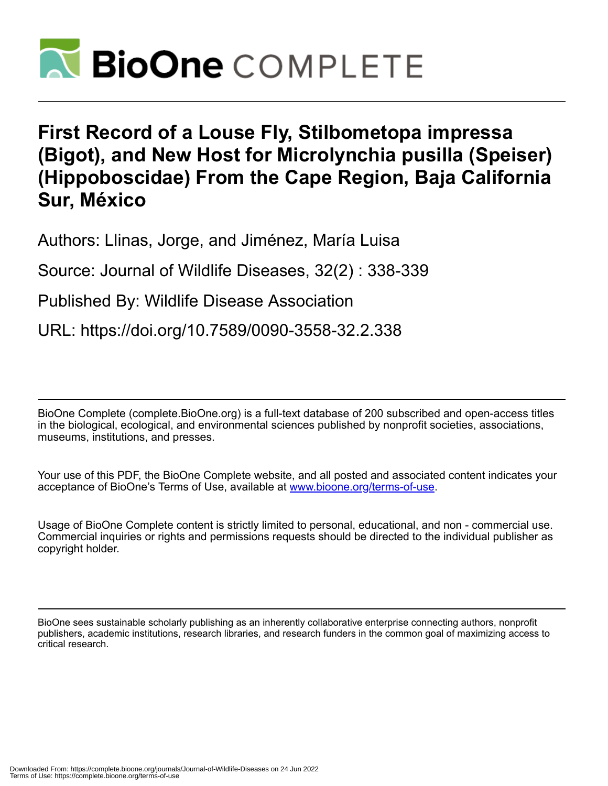

## **First Record of a Louse Fly, Stilbometopa impressa (Bigot), and New Host for Microlynchia pusilla (Speiser) (Hippoboscidae) From the Cape Region, Baja California Sur, México**

Authors: Llinas, Jorge, and Jiménez, María Luisa

Source: Journal of Wildlife Diseases, 32(2) : 338-339

Published By: Wildlife Disease Association

URL: https://doi.org/10.7589/0090-3558-32.2.338

BioOne Complete (complete.BioOne.org) is a full-text database of 200 subscribed and open-access titles in the biological, ecological, and environmental sciences published by nonprofit societies, associations, museums, institutions, and presses.

Your use of this PDF, the BioOne Complete website, and all posted and associated content indicates your acceptance of BioOne's Terms of Use, available at www.bioone.org/terms-of-use.

Usage of BioOne Complete content is strictly limited to personal, educational, and non - commercial use. Commercial inquiries or rights and permissions requests should be directed to the individual publisher as copyright holder.

BioOne sees sustainable scholarly publishing as an inherently collaborative enterprise connecting authors, nonprofit publishers, academic institutions, research libraries, and research funders in the common goal of maximizing access to critical research.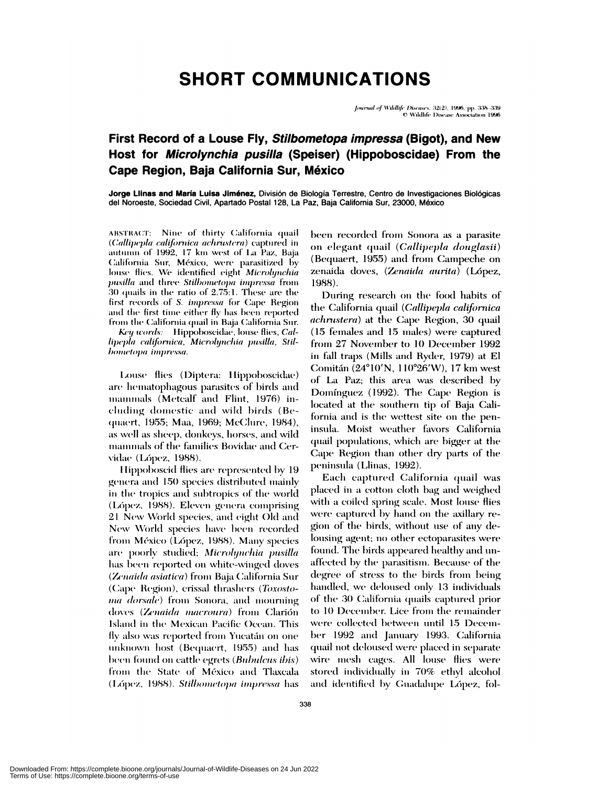## **SHORT COMMUNICATIONS**

Journal of Wildlife Diseases, 32(2), 1996, pp. 338-339 © Wildlife Disease Association 1996

## First Record of a Louse Fly, Stilbometopa impressa (Bigot), and New Host for Microlynchia pusilla (Speiser) (Hippoboscidae) From the Cape Region, Baja California Sur, México

Jorge Llinas and María Luisa Jiménez, División de Biología Terrestre, Centro de Investigaciones Biológicas del Noroeste, Sociedad Civil, Apartado Postal 128, La Paz, Baja California Sur, 23000, México

ABSTRACT: Nine of thirty California quail (Callipepla californica achrustera) captured in autumn of 1992, 17 km west of La Paz, Baja California Sur, México, were parasitized by louse flies. We identified eight Microlynchia pusilla and three Stilbometopa impressa from  $30$  quails in the ratio of  $2.75:1$ . These are the first records of S. impressa for Cape Region and the first time either fly has been reported from the California quail in Baja California Sur.

Key words: Hippoboscidae, louse flies, Callipepla californica, Microlynchia pusilla, Stilbometopa impressa.

Louse flies (Diptera: Hippoboscidae) are hematophagous parasites of birds and mammals (Metcalf and Flint, 1976) including domestic and wild birds (Bequaert, 1955; Maa, 1969; McClure, 1984), as well as sheep, donkeys, horses, and wild mammals of the families Bovidae and Cervidae (López, 1988).

Hippoboscid flies are represented by 19 genera and 150 species distributed mainly in the tropics and subtropics of the world (López, 1988). Eleven genera comprising 21 New World species, and eight Old and New World species have been recorded from México (López, 1988). Many species are poorly studied; Microlynchia pusilla has been reported on white-winged doves (Zenaida asiatica) from Baja California Sur (Cape Region), crissal thrashers (Toxosto*ma dorsale*) from Sonora, and mourning doves (Zenaida macroura) from Clarión Island in the Mexican Pacific Ocean. This fly also was reported from Yucatán on one unknown host (Bequaert, 1955) and has been found on cattle egrets (*Bubulcus ibis*) from the State of México and Tlaxcala (López, 1988). Stilbometopa impressa has been recorded from Sonora as a parasite on elegant quail (Callipepla douglasii) (Bequaert, 1955) and from Campeche on zenaida doves, (Zenaida aurita) (López, 1988).

During research on the food habits of the California quail (Callipepla californica *achrustera*) at the Cape Region, 30 quail (15 females and 15 males) were captured from 27 November to 10 December 1992 in fall traps (Mills and Ryder, 1979) at El Comitán (24°10'N, 110°26'W), 17 km west of La Paz; this area was described by Domínguez (1992). The Cape Region is located at the southern tip of Baja California and is the wettest site on the peninsula. Moist weather favors California quail populations, which are bigger at the Cape Region than other dry parts of the peninsula (Llinas, 1992).

Each captured California quail was placed in a cotton cloth bag and weighed with a coiled spring scale. Most louse flies were captured by hand on the axillary region of the birds, without use of any delousing agent; no other ectoparasites were found. The birds appeared healthy and unaffected by the parasitism. Because of the degree of stress to the birds from being handled, we deloused only 13 individuals of the 30 California quails captured prior to 10 December. Lice from the remainder were collected between until 15 December 1992 and January 1993. California quail not deloused were placed in separate wire mesh cages. All louse flies were stored individually in 70% ethyl alcohol and identified by Guadalupe López, fol-

Downloaded From: https://complete.bioone.org/journals/Journal-of-Wildlife-Diseases on 24 Jun 2022 Terms of Use: https://complete.bioone.org/terms-of-use